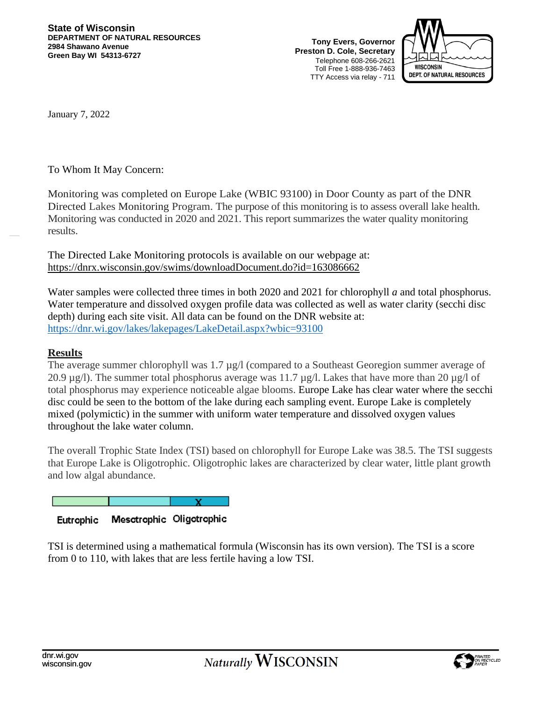**Tony Evers, Governor Preston D. Cole, Secretary** Telephone 608-266-2621 Toll Free 1-888-936-7463 TTY Access via relay - 711



January 7, 2022

To Whom It May Concern:

Monitoring was completed on Europe Lake (WBIC 93100) in Door County as part of the DNR Directed Lakes Monitoring Program. The purpose of this monitoring is to assess overall lake health. Monitoring was conducted in 2020 and 2021. This report summarizes the water quality monitoring results.

The Directed Lake Monitoring protocols is available on our webpage at: https://dnrx.wisconsin.gov/swims/downloadDocument.do?id=163086662

Water samples were collected three times in both 2020 and 2021 for chlorophyll *a* and total phosphorus. Water temperature and dissolved oxygen profile data was collected as well as water clarity (secchi disc depth) during each site visit. All data can be found on the DNR website at: <https://dnr.wi.gov/lakes/lakepages/LakeDetail.aspx?wbic=93100>

## **Results**

The average summer chlorophyll was 1.7  $\mu$ g/l (compared to a Southeast Georegion summer average of 20.9  $\mu$ g/l). The summer total phosphorus average was 11.7  $\mu$ g/l. Lakes that have more than 20  $\mu$ g/l of total phosphorus may experience noticeable algae blooms. Europe Lake has clear water where the secchi disc could be seen to the bottom of the lake during each sampling event. Europe Lake is completely mixed (polymictic) in the summer with uniform water temperature and dissolved oxygen values throughout the lake water column.

The overall Trophic State Index (TSI) based on chlorophyll for Europe Lake was 38.5. The TSI suggests that Europe Lake is Oligotrophic. Oligotrophic lakes are characterized by clear water, little plant growth and low algal abundance.

#### Mesotrophic Oligotrophic Eutrophic

TSI is determined using a mathematical formula (Wisconsin has its own version). The TSI is a score from 0 to 110, with lakes that are less fertile having a low TSI.

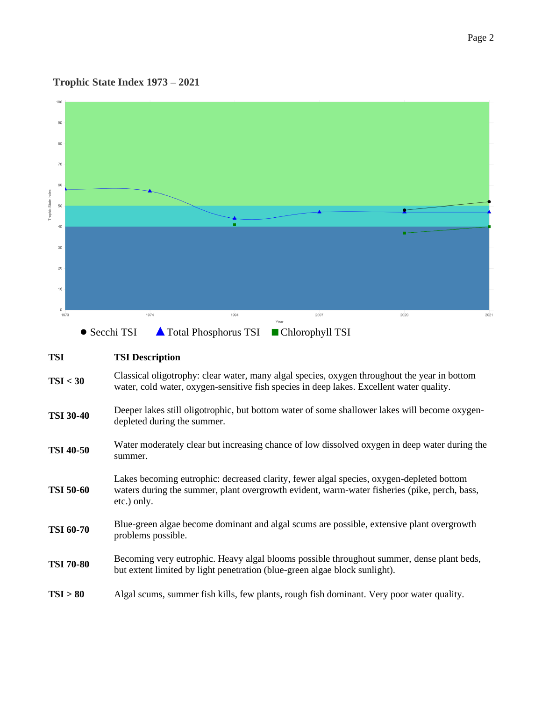#### **Trophic State Index 1973 – 2021**



# **TSI TSI Description**

**TSI** < 30 Classical oligotrophy: clear water, many algal species, oxygen throughout the year in bottom water, cold water, oxygen-sensitive fish species in deep lakes. Excellent water quality.

### **TSI 30-40** Deeper lakes still oligotrophic, but bottom water of some shallower lakes will become oxygendepleted during the summer.

- **TSI 40-50** Water moderately clear but increasing chance of low dissolved oxygen in deep water during the summer.
- **TSI 50-60** Lakes becoming eutrophic: decreased clarity, fewer algal species, oxygen-depleted bottom waters during the summer, plant overgrowth evident, warm-water fisheries (pike, perch, bass, etc.) only.
- **TSI 60-70** Blue-green algae become dominant and algal scums are possible, extensive plant overgrowth problems possible.
- **TSI 70-80** Becoming very eutrophic. Heavy algal blooms possible throughout summer, dense plant beds, but extent limited by light penetration (blue-green algae block sunlight).
- **TSI > 80** Algal scums, summer fish kills, few plants, rough fish dominant. Very poor water quality.